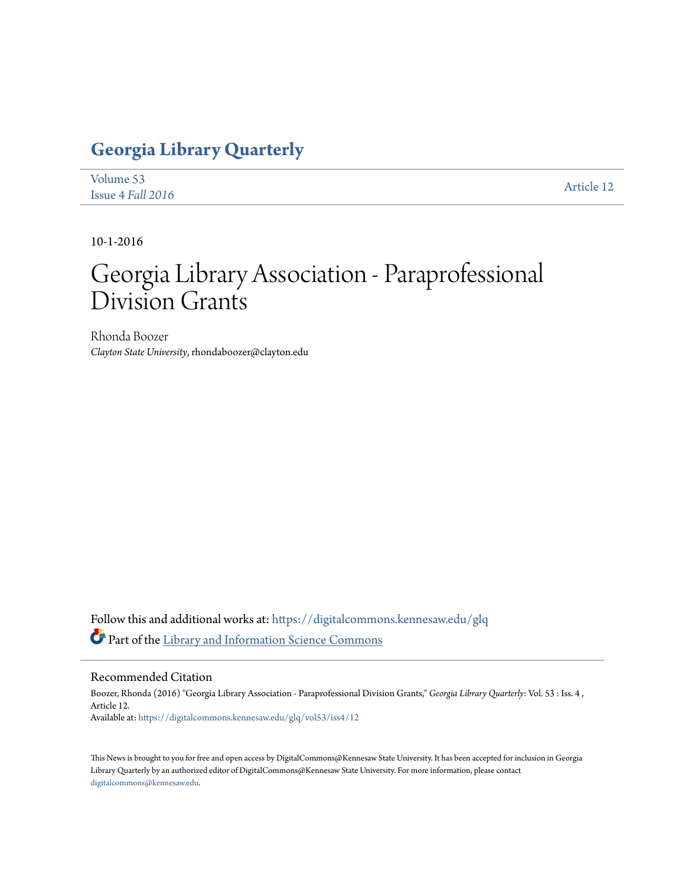## **[Georgia Library Quarterly](https://digitalcommons.kennesaw.edu/glq?utm_source=digitalcommons.kennesaw.edu%2Fglq%2Fvol53%2Fiss4%2F12&utm_medium=PDF&utm_campaign=PDFCoverPages)**

| Volume 53         | Article 12 |
|-------------------|------------|
| Issue 4 Fall 2016 |            |

10-1-2016

## Georgia Library Association - Paraprofessional Division Grants

Rhonda Boozer *Clayton State University*, rhondaboozer@clayton.edu

Follow this and additional works at: [https://digitalcommons.kennesaw.edu/glq](https://digitalcommons.kennesaw.edu/glq?utm_source=digitalcommons.kennesaw.edu%2Fglq%2Fvol53%2Fiss4%2F12&utm_medium=PDF&utm_campaign=PDFCoverPages) Part of the [Library and Information Science Commons](http://network.bepress.com/hgg/discipline/1018?utm_source=digitalcommons.kennesaw.edu%2Fglq%2Fvol53%2Fiss4%2F12&utm_medium=PDF&utm_campaign=PDFCoverPages)

## Recommended Citation

Boozer, Rhonda (2016) "Georgia Library Association - Paraprofessional Division Grants," *Georgia Library Quarterly*: Vol. 53 : Iss. 4 , Article 12. Available at: [https://digitalcommons.kennesaw.edu/glq/vol53/iss4/12](https://digitalcommons.kennesaw.edu/glq/vol53/iss4/12?utm_source=digitalcommons.kennesaw.edu%2Fglq%2Fvol53%2Fiss4%2F12&utm_medium=PDF&utm_campaign=PDFCoverPages)

This News is brought to you for free and open access by DigitalCommons@Kennesaw State University. It has been accepted for inclusion in Georgia Library Quarterly by an authorized editor of DigitalCommons@Kennesaw State University. For more information, please contact [digitalcommons@kennesaw.edu.](mailto:digitalcommons@kennesaw.edu)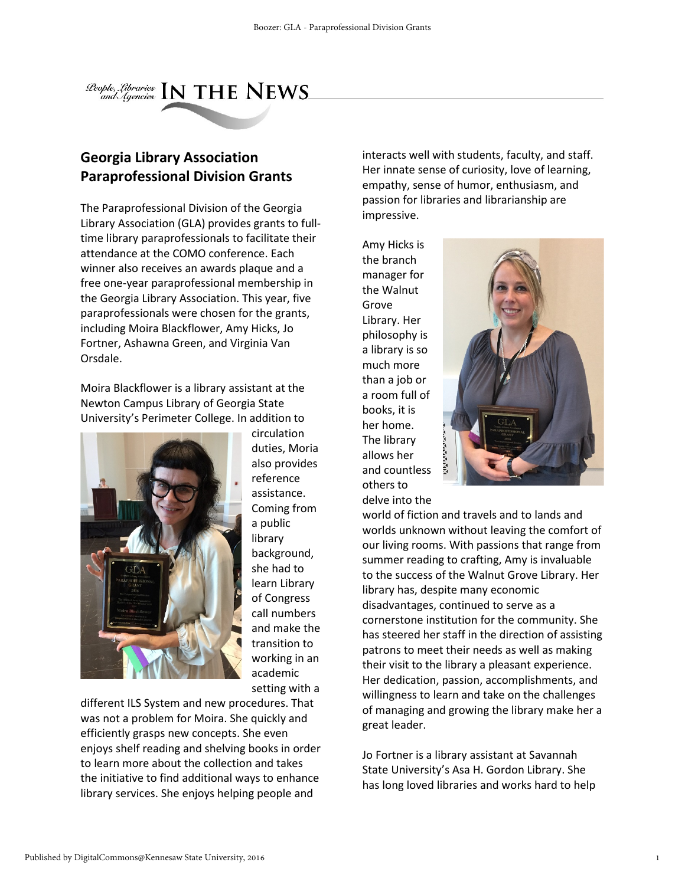

## **Georgia Library Association Paraprofessional Division Grants**

The Paraprofessional Division of the Georgia Library Association (GLA) provides grants to fulltime library paraprofessionals to facilitate their attendance at the COMO conference. Each winner also receives an awards plaque and a free one-year paraprofessional membership in the Georgia Library Association. This year, five paraprofessionals were chosen for the grants, including Moira Blackflower, Amy Hicks, Jo Fortner, Ashawna Green, and Virginia Van Orsdale.

Moira Blackflower is a library assistant at the Newton Campus Library of Georgia State University's Perimeter College. In addition to



circulation duties, Moria also provides reference assistance. Coming from a public library background, she had to learn Library of Congress call numbers and make the transition to working in an academic setting with a

different ILS System and new procedures. That was not a problem for Moira. She quickly and efficiently grasps new concepts. She even enjoys shelf reading and shelving books in order to learn more about the collection and takes the initiative to find additional ways to enhance library services. She enjoys helping people and

interacts well with students, faculty, and staff. Her innate sense of curiosity, love of learning, empathy, sense of humor, enthusiasm, and passion for libraries and librarianship are impressive.

Amy Hicks is the branch manager for the Walnut Grove Library. Her philosophy is a library is so much more than a job or a room full of books, it is her home. The library allows her and countless others to delve into the



world of fiction and travels and to lands and worlds unknown without leaving the comfort of our living rooms. With passions that range from summer reading to crafting, Amy is invaluable to the success of the Walnut Grove Library. Her library has, despite many economic disadvantages, continued to serve as a cornerstone institution for the community. She has steered her staff in the direction of assisting patrons to meet their needs as well as making their visit to the library a pleasant experience. Her dedication, passion, accomplishments, and willingness to learn and take on the challenges of managing and growing the library make her a great leader.

Jo Fortner is a library assistant at Savannah State University's Asa H. Gordon Library. She has long loved libraries and works hard to help